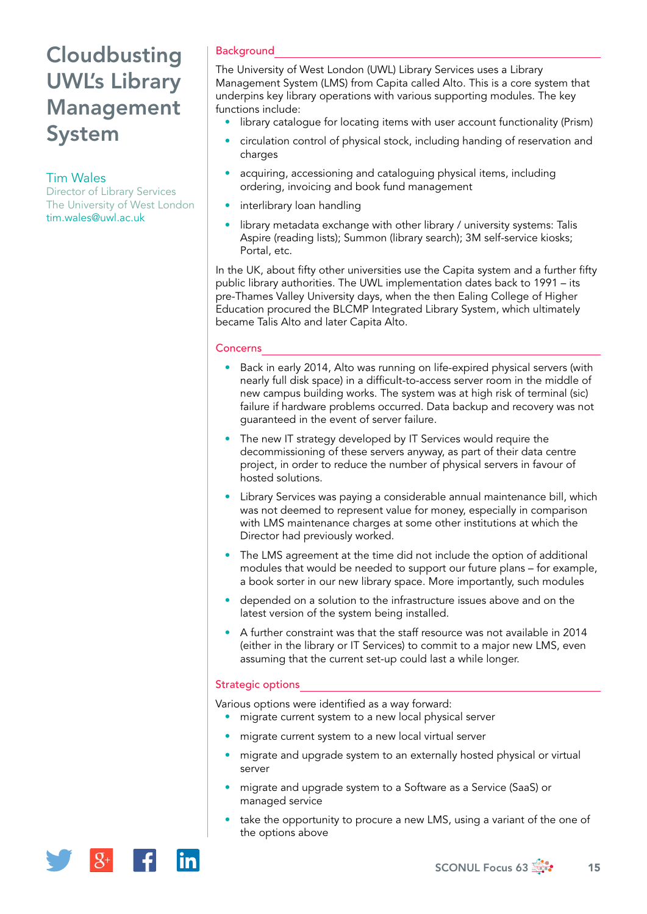# **Cloudbusting** UWL's Library Management System

# Tim Wales

Director of Library Services The University of West London [tim.wales@uwl.ac.uk](mailto:tim.wales@uwl.ac.uk)

# **Background**

The University of West London (UWL) Library Services uses a Library Management System (LMS) from Capita called Alto. This is a core system that underpins key library operations with various supporting modules. The key functions include:

- library catalogue for locating items with user account functionality (Prism)
- circulation control of physical stock, including handing of reservation and charges
- acquiring, accessioning and cataloguing physical items, including ordering, invoicing and book fund management
- interlibrary loan handling
- library metadata exchange with other library / university systems: Talis Aspire (reading lists); Summon (library search); 3M self-service kiosks; Portal, etc.

In the UK, about fifty other universities use the Capita system and a further fifty public library authorities. The UWL implementation dates back to 1991 – its pre-Thames Valley University days, when the then Ealing College of Higher Education procured the BLCMP Integrated Library System, which ultimately became Talis Alto and later Capita Alto.

#### **Concerns**

- Back in early 2014, Alto was running on life-expired physical servers (with nearly full disk space) in a difficult-to-access server room in the middle of new campus building works. The system was at high risk of terminal (sic) failure if hardware problems occurred. Data backup and recovery was not guaranteed in the event of server failure.
- The new IT strategy developed by IT Services would require the decommissioning of these servers anyway, as part of their data centre project, in order to reduce the number of physical servers in favour of hosted solutions.
- Library Services was paying a considerable annual maintenance bill, which was not deemed to represent value for money, especially in comparison with LMS maintenance charges at some other institutions at which the Director had previously worked.
- The LMS agreement at the time did not include the option of additional modules that would be needed to support our future plans – for example, a book sorter in our new library space. More importantly, such modules
- depended on a solution to the infrastructure issues above and on the latest version of the system being installed.
- A further constraint was that the staff resource was not available in 2014 (either in the library or IT Services) to commit to a major new LMS, even assuming that the current set-up could last a while longer.

### Strategic options

Various options were identified as a way forward:

- migrate current system to a new local physical server
- migrate current system to a new local virtual server
- migrate and upgrade system to an externally hosted physical or virtual server
- migrate and upgrade system to a Software as a Service (SaaS) or managed service
- take the opportunity to procure a new LMS, using a variant of the one of the options above

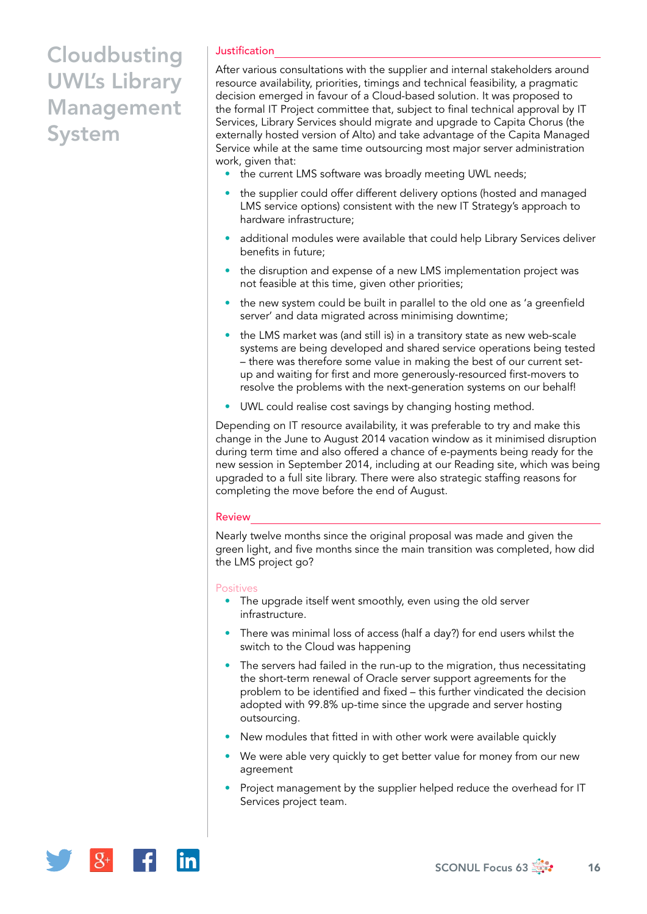# **Cloudbusting** UWL's Library Management System

## Justification

After various consultations with the supplier and internal stakeholders around resource availability, priorities, timings and technical feasibility, a pragmatic decision emerged in favour of a Cloud-based solution. It was proposed to the formal IT Project committee that, subject to final technical approval by IT Services, Library Services should migrate and upgrade to Capita Chorus (the externally hosted version of Alto) and take advantage of the Capita Managed Service while at the same time outsourcing most major server administration work, given that:

- the current LMS software was broadly meeting UWL needs;
- the supplier could offer different delivery options (hosted and managed LMS service options) consistent with the new IT Strategy's approach to hardware infrastructure;
- additional modules were available that could help Library Services deliver benefits in future;
- the disruption and expense of a new LMS implementation project was not feasible at this time, given other priorities;
- the new system could be built in parallel to the old one as 'a greenfield server' and data migrated across minimising downtime;
- the LMS market was (and still is) in a transitory state as new web-scale systems are being developed and shared service operations being tested – there was therefore some value in making the best of our current setup and waiting for first and more generously-resourced first-movers to resolve the problems with the next-generation systems on our behalf!
- UWL could realise cost savings by changing hosting method.

Depending on IT resource availability, it was preferable to try and make this change in the June to August 2014 vacation window as it minimised disruption during term time and also offered a chance of e-payments being ready for the new session in September 2014, including at our Reading site, which was being upgraded to a full site library. There were also strategic staffing reasons for completing the move before the end of August.

#### Review

Nearly twelve months since the original proposal was made and given the green light, and five months since the main transition was completed, how did the LMS project go?

#### **Positives**

- The upgrade itself went smoothly, even using the old server infrastructure.
- There was minimal loss of access (half a day?) for end users whilst the switch to the Cloud was happening
- The servers had failed in the run-up to the migration, thus necessitating the short-term renewal of Oracle server support agreements for the problem to be identified and fixed – this further vindicated the decision adopted with 99.8% up-time since the upgrade and server hosting outsourcing.
- New modules that fitted in with other work were available quickly
- We were able very quickly to get better value for money from our new agreement
- Project management by the supplier helped reduce the overhead for IT Services project team.